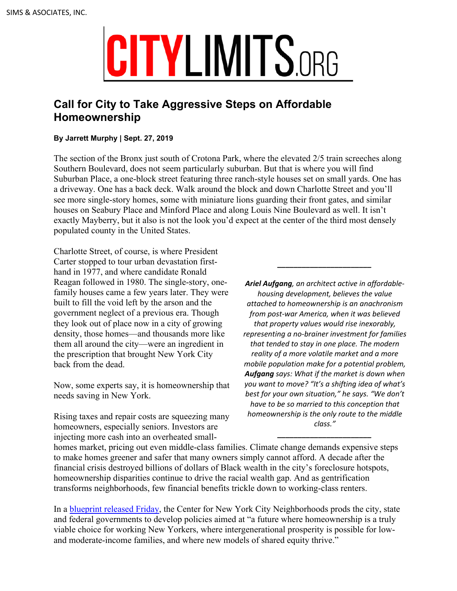# **CITYLIMITS.ORG**

# **Call for City to Take Aggressive Steps on Affordable Homeownership**

# **By Jarrett Murphy | Sept. 27, 2019**

The section of the Bronx just south of Crotona Park, where the elevated 2/5 train screeches along Southern Boulevard, does not seem particularly suburban. But that is where you will find Suburban Place, a one-block street featuring three ranch-style houses set on small yards. One has a driveway. One has a back deck. Walk around the block and down Charlotte Street and you'll see more single-story homes, some with miniature lions guarding their front gates, and similar houses on Seabury Place and Minford Place and along Louis Nine Boulevard as well. It isn't exactly Mayberry, but it also is not the look you'd expect at the center of the third most densely populated county in the United States.

Charlotte Street, of course, is where President Carter stopped to tour urban devastation firsthand in 1977, and where candidate Ronald Reagan followed in 1980. The single-story, onefamily houses came a few years later. They were built to fill the void left by the arson and the government neglect of a previous era. Though they look out of place now in a city of growing density, those homes—and thousands more like them all around the city—were an ingredient in the prescription that brought New York City back from the dead.

Now, some experts say, it is homeownership that needs saving in New York.

Rising taxes and repair costs are squeezing many homeowners, especially seniors. Investors are injecting more cash into an overheated small-

*Ariel Aufgang, an architect active in affordablehousing development, believes the value attached to homeownership is an anachronism from post-war America, when it was believed that property values would rise inexorably, representing a no-brainer investment for families that tended to stay in one place. The modern reality of a more volatile market and a more mobile population make for a potential problem, Aufgang says: What if the market is down when you want to move? "It's a shifting idea of what's best for your own situation," he says. "We don't have to be so married to this conception that homeownership is the only route to the middle class."*

*\_\_\_\_\_\_\_\_\_\_\_\_\_\_\_\_\_\_\_\_\_\_\_*

*\_\_\_\_\_\_\_\_\_\_\_\_\_\_\_\_\_\_\_\_\_\_\_*

homes market, pricing out even middle-class families. Climate change demands expensive steps to make homes greener and safer that many owners simply cannot afford. A decade after the financial crisis destroyed billions of dollars of Black wealth in the city's foreclosure hotspots, homeownership disparities continue to drive the racial wealth gap. And as gentrification transforms neighborhoods, few financial benefits trickle down to working-class renters.

In a [blueprint released Friday](https://blueprint.cnycn.org), the Center for New York City Neighborhoods prods the city, state and federal governments to develop policies aimed at "a future where homeownership is a truly viable choice for working New Yorkers, where intergenerational prosperity is possible for lowand moderate-income families, and where new models of shared equity thrive."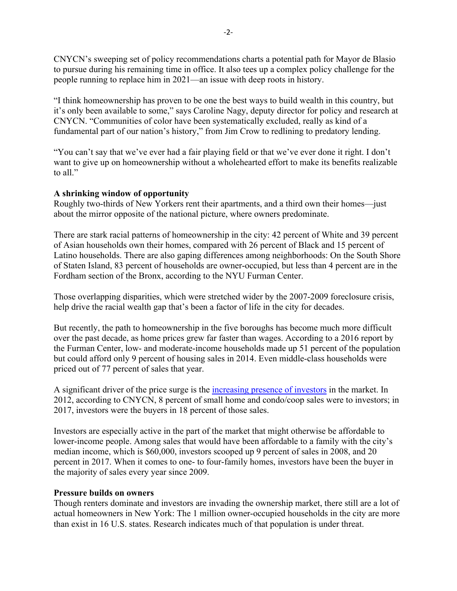CNYCN's sweeping set of policy recommendations charts a potential path for Mayor de Blasio to pursue during his remaining time in office. It also tees up a complex policy challenge for the people running to replace him in 2021—an issue with deep roots in history.

"I think homeownership has proven to be one the best ways to build wealth in this country, but it's only been available to some," says Caroline Nagy, deputy director for policy and research at CNYCN. "Communities of color have been systematically excluded, really as kind of a fundamental part of our nation's history," from Jim Crow to redlining to predatory lending.

"You can't say that we've ever had a fair playing field or that we've ever done it right. I don't want to give up on homeownership without a wholehearted effort to make its benefits realizable to all."

# **A shrinking window of opportunity**

Roughly two-thirds of New Yorkers rent their apartments, and a third own their homes—just about the mirror opposite of the national picture, where owners predominate.

There are stark racial patterns of homeownership in the city: 42 percent of White and 39 percent of Asian households own their homes, compared with 26 percent of Black and 15 percent of Latino households. There are also gaping differences among neighborhoods: On the South Shore of Staten Island, 83 percent of households are owner-occupied, but less than 4 percent are in the Fordham section of the Bronx, according to the NYU Furman Center.

Those overlapping disparities, which were stretched wider by the 2007-2009 foreclosure crisis, help drive the racial wealth gap that's been a factor of life in the city for decades.

But recently, the path to homeownership in the five boroughs has become much more difficult over the past decade, as home prices grew far faster than wages. According to a 2016 report by the Furman Center, low- and moderate-income households made up 51 percent of the population but could afford only 9 percent of housing sales in 2014. Even middle-class households were priced out of 77 percent of sales that year.

A significant driver of the price surge is the [increasing presence of investors](https://s28299.pcdn.co/wp-content/uploads/2018/10/CNY002-AH-Summit-Report_v7_FINAL_online.pdf) in the market. In 2012, according to CNYCN, 8 percent of small home and condo/coop sales were to investors; in 2017, investors were the buyers in 18 percent of those sales.

Investors are especially active in the part of the market that might otherwise be affordable to lower-income people. Among sales that would have been affordable to a family with the city's median income, which is \$60,000, investors scooped up 9 percent of sales in 2008, and 20 percent in 2017. When it comes to one- to four-family homes, investors have been the buyer in the majority of sales every year since 2009.

#### **Pressure builds on owners**

Though renters dominate and investors are invading the ownership market, there still are a lot of actual homeowners in New York: The 1 million owner-occupied households in the city are more than exist in 16 U.S. states. Research indicates much of that population is under threat.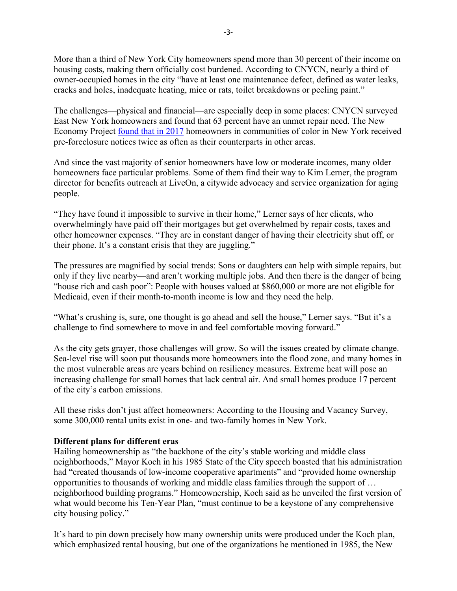More than a third of New York City homeowners spend more than 30 percent of their income on housing costs, making them officially cost burdened. According to CNYCN, nearly a third of owner-occupied homes in the city "have at least one maintenance defect, defined as water leaks, cracks and holes, inadequate heating, mice or rats, toilet breakdowns or peeling paint."

The challenges—physical and financial—are especially deep in some places: CNYCN surveyed East New York homeowners and found that 63 percent have an unmet repair need. The New Economy Project [found that in 2017](https://www.neweconomynyc.org/wp-content/uploads/2019/01/Final_2018.pdf) homeowners in communities of color in New York received pre-foreclosure notices twice as often as their counterparts in other areas.

And since the vast majority of senior homeowners have low or moderate incomes, many older homeowners face particular problems. Some of them find their way to Kim Lerner, the program director for benefits outreach at LiveOn, a citywide advocacy and service organization for aging people.

"They have found it impossible to survive in their home," Lerner says of her clients, who overwhelmingly have paid off their mortgages but get overwhelmed by repair costs, taxes and other homeowner expenses. "They are in constant danger of having their electricity shut off, or their phone. It's a constant crisis that they are juggling."

The pressures are magnified by social trends: Sons or daughters can help with simple repairs, but only if they live nearby—and aren't working multiple jobs. And then there is the danger of being "house rich and cash poor": People with houses valued at \$860,000 or more are not eligible for Medicaid, even if their month-to-month income is low and they need the help.

"What's crushing is, sure, one thought is go ahead and sell the house," Lerner says. "But it's a challenge to find somewhere to move in and feel comfortable moving forward."

As the city gets grayer, those challenges will grow. So will the issues created by climate change. Sea-level rise will soon put thousands more homeowners into the flood zone, and many homes in the most vulnerable areas are years behind on resiliency measures. Extreme heat will pose an increasing challenge for small homes that lack central air. And small homes produce 17 percent of the city's carbon emissions.

All these risks don't just affect homeowners: According to the Housing and Vacancy Survey, some 300,000 rental units exist in one- and two-family homes in New York.

#### **Different plans for different eras**

Hailing homeownership as "the backbone of the city's stable working and middle class neighborhoods," Mayor Koch in his 1985 State of the City speech boasted that his administration had "created thousands of low-income cooperative apartments" and "provided home ownership opportunities to thousands of working and middle class families through the support of … neighborhood building programs." Homeownership, Koch said as he unveiled the first version of what would become his Ten-Year Plan, "must continue to be a keystone of any comprehensive city housing policy."

It's hard to pin down precisely how many ownership units were produced under the Koch plan, which emphasized rental housing, but one of the organizations he mentioned in 1985, the New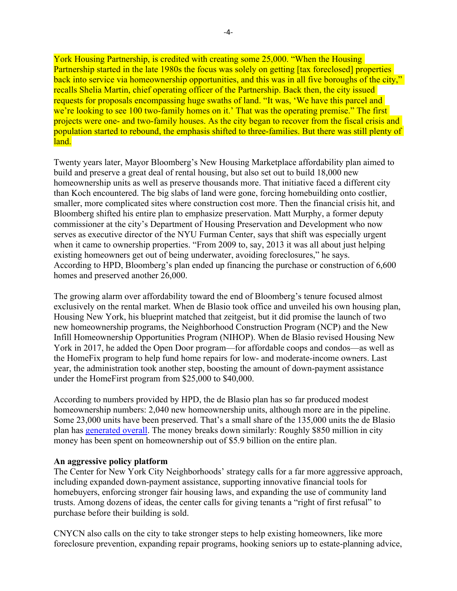York Housing Partnership, is credited with creating some 25,000. "When the Housing Partnership started in the late 1980s the focus was solely on getting [tax foreclosed] properties back into service via homeownership opportunities, and this was in all five boroughs of the city," recalls Shelia Martin, chief operating officer of the Partnership. Back then, the city issued requests for proposals encompassing huge swaths of land. "It was, 'We have this parcel and we're looking to see 100 two-family homes on it.' That was the operating premise." The first projects were one- and two-family houses. As the city began to recover from the fiscal crisis and population started to rebound, the emphasis shifted to three-families. But there was still plenty of land.

Twenty years later, Mayor Bloomberg's New Housing Marketplace affordability plan aimed to build and preserve a great deal of rental housing, but also set out to build 18,000 new homeownership units as well as preserve thousands more. That initiative faced a different city than Koch encountered. The big slabs of land were gone, forcing homebuilding onto costlier, smaller, more complicated sites where construction cost more. Then the financial crisis hit, and Bloomberg shifted his entire plan to emphasize preservation. Matt Murphy, a former deputy commissioner at the city's Department of Housing Preservation and Development who now serves as executive director of the NYU Furman Center, says that shift was especially urgent when it came to ownership properties. "From 2009 to, say, 2013 it was all about just helping existing homeowners get out of being underwater, avoiding foreclosures," he says. According to HPD, Bloomberg's plan ended up financing the purchase or construction of 6,600 homes and preserved another 26,000.

The growing alarm over affordability toward the end of Bloomberg's tenure focused almost exclusively on the rental market. When de Blasio took office and unveiled his own housing plan, Housing New York, his blueprint matched that zeitgeist, but it did promise the launch of two new homeownership programs, the Neighborhood Construction Program (NCP) and the New Infill Homeownership Opportunities Program (NIHOP). When de Blasio revised Housing New York in 2017, he added the Open Door program—for affordable coops and condos—as well as the HomeFix program to help fund home repairs for low- and moderate-income owners. Last year, the administration took another step, boosting the amount of down-payment assistance under the HomeFirst program from \$25,000 to \$40,000.

According to numbers provided by HPD, the de Blasio plan has so far produced modest homeownership numbers: 2,040 new homeownership units, although more are in the pipeline. Some 23,000 units have been preserved. That's a small share of the 135,000 units the de Blasio plan has [generated overall.](https://www1.nyc.gov/assets/operations/downloads/pdf/mmr2019/housing_new_york.pdf) The money breaks down similarly: Roughly \$850 million in city money has been spent on homeownership out of \$5.9 billion on the entire plan.

#### **An aggressive policy platform**

The Center for New York City Neighborhoods' strategy calls for a far more aggressive approach, including expanded down-payment assistance, supporting innovative financial tools for homebuyers, enforcing stronger fair housing laws, and expanding the use of community land trusts. Among dozens of ideas, the center calls for giving tenants a "right of first refusal" to purchase before their building is sold.

CNYCN also calls on the city to take stronger steps to help existing homeowners, like more foreclosure prevention, expanding repair programs, hooking seniors up to estate-planning advice,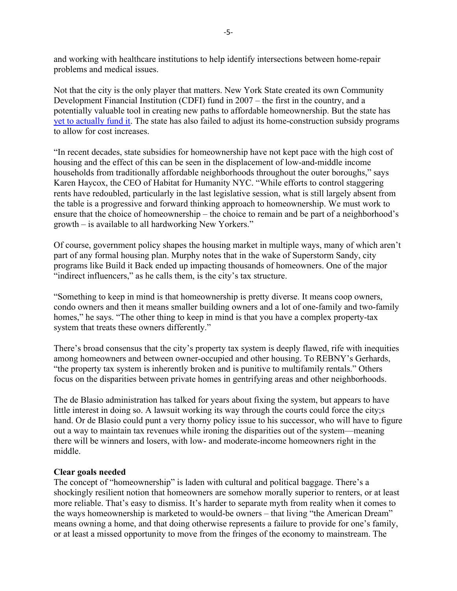and working with healthcare institutions to help identify intersections between home-repair problems and medical issues.

Not that the city is the only player that matters. New York State created its own Community Development Financial Institution (CDFI) fund in 2007 – the first in the country, and a potentially valuable tool in creating new paths to affordable homeownership. But the state has [yet to actually fund it.](https://nextcity.org/daily/entry/stalled-new-york-state-cdfi-fund) The state has also failed to adjust its home-construction subsidy programs to allow for cost increases.

"In recent decades, state subsidies for homeownership have not kept pace with the high cost of housing and the effect of this can be seen in the displacement of low-and-middle income households from traditionally affordable neighborhoods throughout the outer boroughs," says Karen Haycox, the CEO of Habitat for Humanity NYC. "While efforts to control staggering rents have redoubled, particularly in the last legislative session, what is still largely absent from the table is a progressive and forward thinking approach to homeownership. We must work to ensure that the choice of homeownership – the choice to remain and be part of a neighborhood's growth – is available to all hardworking New Yorkers."

Of course, government policy shapes the housing market in multiple ways, many of which aren't part of any formal housing plan. Murphy notes that in the wake of Superstorm Sandy, city programs like Build it Back ended up impacting thousands of homeowners. One of the major "indirect influencers," as he calls them, is the city's tax structure.

"Something to keep in mind is that homeownership is pretty diverse. It means coop owners, condo owners and then it means smaller building owners and a lot of one-family and two-family homes," he says. "The other thing to keep in mind is that you have a complex property-tax system that treats these owners differently."

There's broad consensus that the city's property tax system is deeply flawed, rife with inequities among homeowners and between owner-occupied and other housing. To REBNY's Gerhards, "the property tax system is inherently broken and is punitive to multifamily rentals." Others focus on the disparities between private homes in gentrifying areas and other neighborhoods.

The de Blasio administration has talked for years about fixing the system, but appears to have little interest in doing so. A lawsuit working its way through the courts could force the city;s hand. Or de Blasio could punt a very thorny policy issue to his successor, who will have to figure out a way to maintain tax revenues while ironing the disparities out of the system—meaning there will be winners and losers, with low- and moderate-income homeowners right in the middle.

#### **Clear goals needed**

The concept of "homeownership" is laden with cultural and political baggage. There's a shockingly resilient notion that homeowners are somehow morally superior to renters, or at least more reliable. That's easy to dismiss. It's harder to separate myth from reality when it comes to the ways homeownership is marketed to would-be owners – that living "the American Dream" means owning a home, and that doing otherwise represents a failure to provide for one's family, or at least a missed opportunity to move from the fringes of the economy to mainstream. The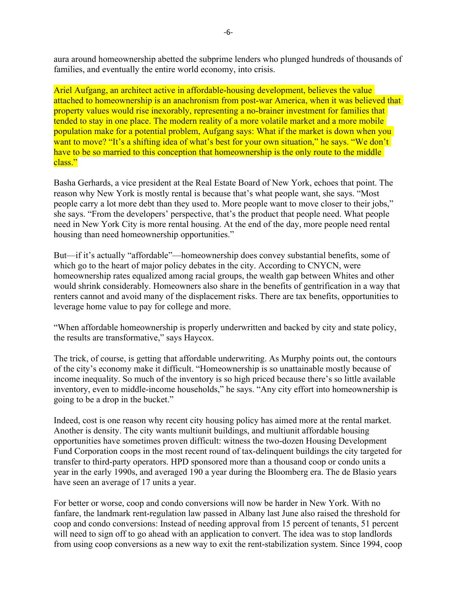aura around homeownership abetted the subprime lenders who plunged hundreds of thousands of families, and eventually the entire world economy, into crisis.

Ariel Aufgang, an architect active in affordable-housing development, believes the value attached to homeownership is an anachronism from post-war America, when it was believed that property values would rise inexorably, representing a no-brainer investment for families that tended to stay in one place. The modern reality of a more volatile market and a more mobile population make for a potential problem, Aufgang says: What if the market is down when you want to move? "It's a shifting idea of what's best for your own situation," he says. "We don't have to be so married to this conception that homeownership is the only route to the middle class."

Basha Gerhards, a vice president at the Real Estate Board of New York, echoes that point. The reason why New York is mostly rental is because that's what people want, she says. "Most people carry a lot more debt than they used to. More people want to move closer to their jobs," she says. "From the developers' perspective, that's the product that people need. What people need in New York City is more rental housing. At the end of the day, more people need rental housing than need homeownership opportunities."

But—if it's actually "affordable"—homeownership does convey substantial benefits, some of which go to the heart of major policy debates in the city. According to CNYCN, were homeownership rates equalized among racial groups, the wealth gap between Whites and other would shrink considerably. Homeowners also share in the benefits of gentrification in a way that renters cannot and avoid many of the displacement risks. There are tax benefits, opportunities to leverage home value to pay for college and more.

"When affordable homeownership is properly underwritten and backed by city and state policy, the results are transformative," says Haycox.

The trick, of course, is getting that affordable underwriting. As Murphy points out, the contours of the city's economy make it difficult. "Homeownership is so unattainable mostly because of income inequality. So much of the inventory is so high priced because there's so little available inventory, even to middle-income households," he says. "Any city effort into homeownership is going to be a drop in the bucket."

Indeed, cost is one reason why recent city housing policy has aimed more at the rental market. Another is density. The city wants multiunit buildings, and multiunit affordable housing opportunities have sometimes proven difficult: witness the two-dozen Housing Development Fund Corporation coops in the most recent round of tax-delinquent buildings the city targeted for transfer to third-party operators. HPD sponsored more than a thousand coop or condo units a year in the early 1990s, and averaged 190 a year during the Bloomberg era. The de Blasio years have seen an average of 17 units a year.

For better or worse, coop and condo conversions will now be harder in New York. With no fanfare, the landmark rent-regulation law passed in Albany last June also raised the threshold for coop and condo conversions: Instead of needing approval from 15 percent of tenants, 51 percent will need to sign off to go ahead with an application to convert. The idea was to stop landlords from using coop conversions as a new way to exit the rent-stabilization system. Since 1994, coop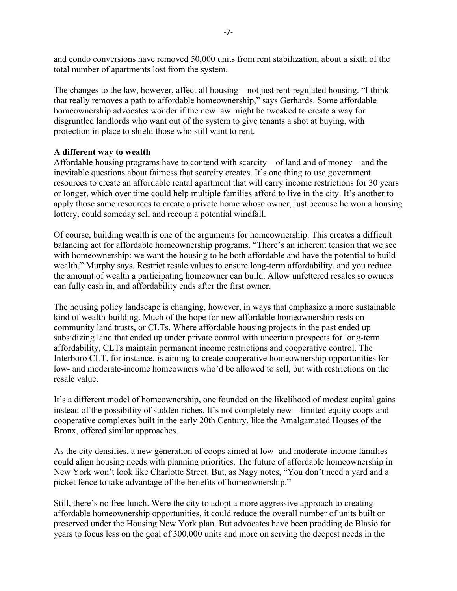and condo conversions have removed 50,000 units from rent stabilization, about a sixth of the total number of apartments lost from the system.

The changes to the law, however, affect all housing – not just rent-regulated housing. "I think that really removes a path to affordable homeownership," says Gerhards. Some affordable homeownership advocates wonder if the new law might be tweaked to create a way for disgruntled landlords who want out of the system to give tenants a shot at buying, with protection in place to shield those who still want to rent.

# **A different way to wealth**

Affordable housing programs have to contend with scarcity—of land and of money—and the inevitable questions about fairness that scarcity creates. It's one thing to use government resources to create an affordable rental apartment that will carry income restrictions for 30 years or longer, which over time could help multiple families afford to live in the city. It's another to apply those same resources to create a private home whose owner, just because he won a housing lottery, could someday sell and recoup a potential windfall.

Of course, building wealth is one of the arguments for homeownership. This creates a difficult balancing act for affordable homeownership programs. "There's an inherent tension that we see with homeownership: we want the housing to be both affordable and have the potential to build wealth," Murphy says. Restrict resale values to ensure long-term affordability, and you reduce the amount of wealth a participating homeowner can build. Allow unfettered resales so owners can fully cash in, and affordability ends after the first owner.

The housing policy landscape is changing, however, in ways that emphasize a more sustainable kind of wealth-building. Much of the hope for new affordable homeownership rests on community land trusts, or CLTs. Where affordable housing projects in the past ended up subsidizing land that ended up under private control with uncertain prospects for long-term affordability, CLTs maintain permanent income restrictions and cooperative control. The Interboro CLT, for instance, is aiming to create cooperative homeownership opportunities for low- and moderate-income homeowners who'd be allowed to sell, but with restrictions on the resale value.

It's a different model of homeownership, one founded on the likelihood of modest capital gains instead of the possibility of sudden riches. It's not completely new—limited equity coops and cooperative complexes built in the early 20th Century, like the Amalgamated Houses of the Bronx, offered similar approaches.

As the city densifies, a new generation of coops aimed at low- and moderate-income families could align housing needs with planning priorities. The future of affordable homeownership in New York won't look like Charlotte Street. But, as Nagy notes, "You don't need a yard and a picket fence to take advantage of the benefits of homeownership."

Still, there's no free lunch. Were the city to adopt a more aggressive approach to creating affordable homeownership opportunities, it could reduce the overall number of units built or preserved under the Housing New York plan. But advocates have been prodding de Blasio for years to focus less on the goal of 300,000 units and more on serving the deepest needs in the